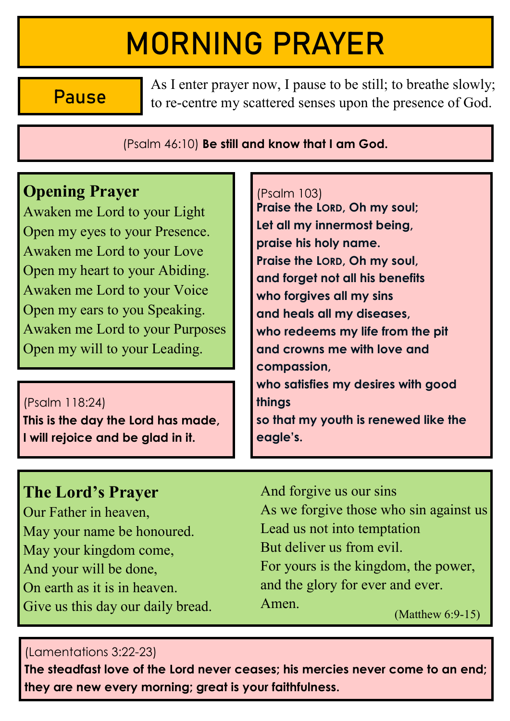# MORNING PRAYER

Pause

As I enter prayer now, I pause to be still; to breathe slowly; to re-centre my scattered senses upon the presence of God.

(Psalm 46:10) **Be still and know that I am God.** 

# **Opening Prayer**

Awaken me Lord to your Light Open my eyes to your Presence. Awaken me Lord to your Love Open my heart to your Abiding. Awaken me Lord to your Voice Open my ears to you Speaking. Awaken me Lord to your Purposes Open my will to your Leading.

(Psalm 118:24) **This is the day the Lord has made, I will rejoice and be glad in it.** 

#### (Psalm 103)

**Praise the LORD, Oh my soul; Let all my innermost being, praise his holy name. Praise the LORD, Oh my soul, and forget not all his benefits who forgives all my sins and heals all my diseases, who redeems my life from the pit and crowns me with love and compassion, who satisfies my desires with good things so that my youth is renewed like the**  eagle's.

# **The Lord's Prayer**

Our Father in heaven. May your name be honoured. May your kingdom come, And your will be done, On earth as it is in heaven Give us this day our daily bread. And forgive us our sins As we forgive those who sin against us Lead us not into temptation But deliver us from evil. For yours is the kingdom, the power, and the glory for ever and ever. Amen.  $(Mat$ thew  $6:9-15)$ 

### (Lamentations 3:22-23)

**The steadfast love of the Lord never ceases; his mercies never come to an end; they are new every morning; great is your faithfulness.**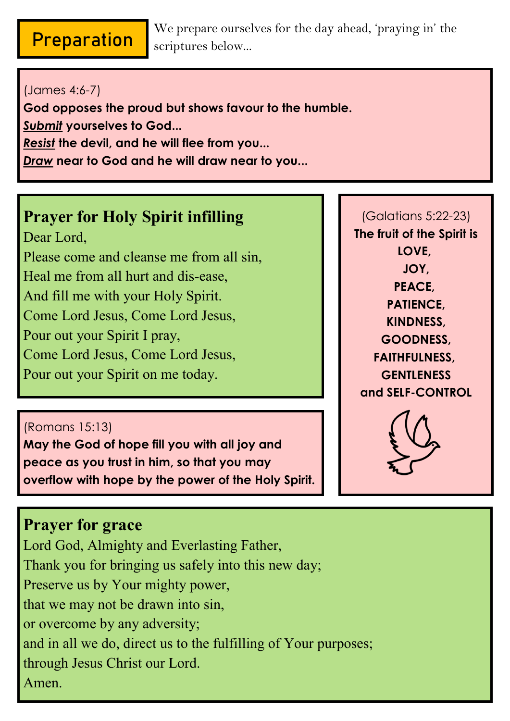# Preparation

We prepare ourselves for the day ahead, 'praying in' the scriptures below...

### (James 4:6-7)

**God opposes the proud but shows favour to the humble.** 

*Submit* **yourselves to God...** 

*Resist* **the devil, and he will flee from you...**

*Draw* **near to God and he will draw near to you...** 

# **Prayer for Holy Spirit infilling**

Dear Lord. Please come and cleanse me from all sin, Heal me from all hurt and dis-ease. And fill me with your Holy Spirit. Come Lord Jesus, Come Lord Jesus, Pour out your Spirit I pray. Come Lord Jesus, Come Lord Jesus, Pour out your Spirit on me today.

### (Romans 15:13)

**May the God of hope fill you with all joy and peace as you trust in him, so that you may overflow with hope by the power of the Holy Spirit.** 

# **Prayer for grace**

Lord God, Almighty and Everlasting Father, Thank you for bringing us safely into this new day; Preserve us by Your mighty power, that we may not be drawn into sin, or overcome by any adversity; and in all we do, direct us to the fulfilling of Your purposes; through Jesus Christ our Lord. Amen.

(Galatians 5:22-23) **The fruit of the Spirit is LOVE, JOY, PEACE, PATIENCE, KINDNESS, GOODNESS, FAITHFULNESS, GENTLENESS and SELF-CONTROL** 

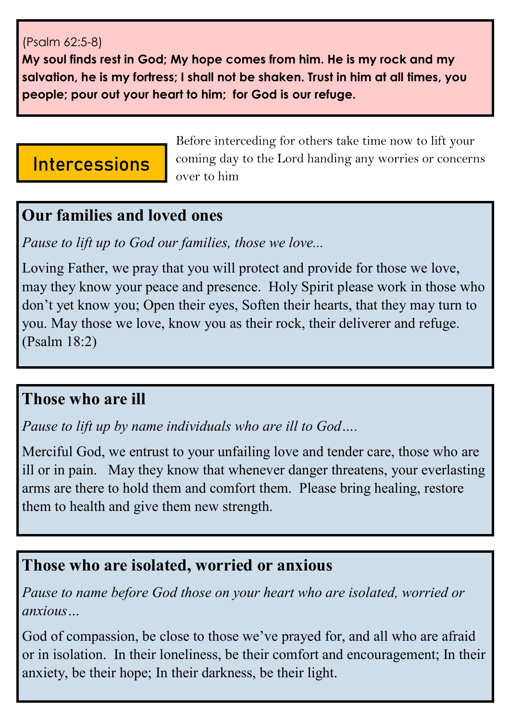### (Psalm 62:5-8)

My soul finds rest in God; My hope comes from him. He is my rock and my salvation, he is my fortress: I shall not be shaken. Trust in him at all times, you people; pour out your heart to him; for God is our refuge.

# Intercessions

Before interceding for others take time now to lift your coming day to the Lord handing any worries or concerns over to him

## Our families and loved ones

Pause to lift up to God our families, those we love...

Loving Father, we pray that you will protect and provide for those we love, may they know your peace and presence. Holy Spirit please work in those who don't yet know you; Open their eyes, Soften their hearts, that they may turn to you. May those we love, know you as their rock, their deliverer and refuge.  $(Psalm 18:2)$ 

## Those who are ill

Pause to lift up by name individuals who are ill to God....

Merciful God, we entrust to your unfailing love and tender care, those who are ill or in pain. May they know that whenever danger threatens, your everlasting arms are there to hold them and comfort them. Please bring healing, restore them to health and give them new strength.

# Those who are isolated, worried or anxious

Pause to name before God those on your heart who are isolated, worried or anxious...

God of compassion, be close to those we've prayed for, and all who are afraid or in isolation. In their loneliness, be their comfort and encouragement; In their anxiety, be their hope; In their darkness, be their light.